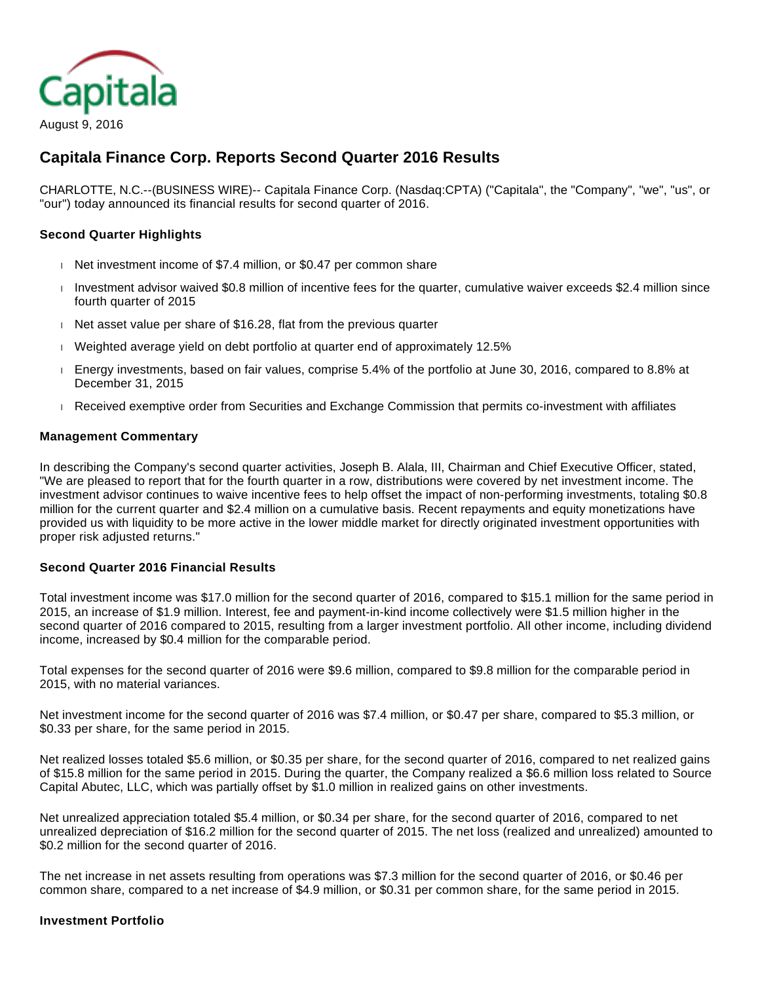

# **Capitala Finance Corp. Reports Second Quarter 2016 Results**

CHARLOTTE, N.C.--(BUSINESS WIRE)-- Capitala Finance Corp. (Nasdaq:CPTA) ("Capitala", the "Company", "we", "us", or "our") today announced its financial results for second quarter of 2016.

#### **Second Quarter Highlights**

- Net investment income of \$7.4 million, or \$0.47 per common share
- Investment advisor waived \$0.8 million of incentive fees for the quarter, cumulative waiver exceeds \$2.4 million since fourth quarter of 2015
- $\parallel$  Net asset value per share of \$16.28, flat from the previous quarter
- Weighted average yield on debt portfolio at quarter end of approximately 12.5%
- Energy investments, based on fair values, comprise 5.4% of the portfolio at June 30, 2016, compared to 8.8% at December 31, 2015
- Received exemptive order from Securities and Exchange Commission that permits co-investment with affiliates

#### **Management Commentary**

In describing the Company's second quarter activities, Joseph B. Alala, III, Chairman and Chief Executive Officer, stated, "We are pleased to report that for the fourth quarter in a row, distributions were covered by net investment income. The investment advisor continues to waive incentive fees to help offset the impact of non-performing investments, totaling \$0.8 million for the current quarter and \$2.4 million on a cumulative basis. Recent repayments and equity monetizations have provided us with liquidity to be more active in the lower middle market for directly originated investment opportunities with proper risk adjusted returns."

#### **Second Quarter 2016 Financial Results**

Total investment income was \$17.0 million for the second quarter of 2016, compared to \$15.1 million for the same period in 2015, an increase of \$1.9 million. Interest, fee and payment-in-kind income collectively were \$1.5 million higher in the second quarter of 2016 compared to 2015, resulting from a larger investment portfolio. All other income, including dividend income, increased by \$0.4 million for the comparable period.

Total expenses for the second quarter of 2016 were \$9.6 million, compared to \$9.8 million for the comparable period in 2015, with no material variances.

Net investment income for the second quarter of 2016 was \$7.4 million, or \$0.47 per share, compared to \$5.3 million, or \$0.33 per share, for the same period in 2015.

Net realized losses totaled \$5.6 million, or \$0.35 per share, for the second quarter of 2016, compared to net realized gains of \$15.8 million for the same period in 2015. During the quarter, the Company realized a \$6.6 million loss related to Source Capital Abutec, LLC, which was partially offset by \$1.0 million in realized gains on other investments.

Net unrealized appreciation totaled \$5.4 million, or \$0.34 per share, for the second quarter of 2016, compared to net unrealized depreciation of \$16.2 million for the second quarter of 2015. The net loss (realized and unrealized) amounted to \$0.2 million for the second quarter of 2016.

The net increase in net assets resulting from operations was \$7.3 million for the second quarter of 2016, or \$0.46 per common share, compared to a net increase of \$4.9 million, or \$0.31 per common share, for the same period in 2015.

#### **Investment Portfolio**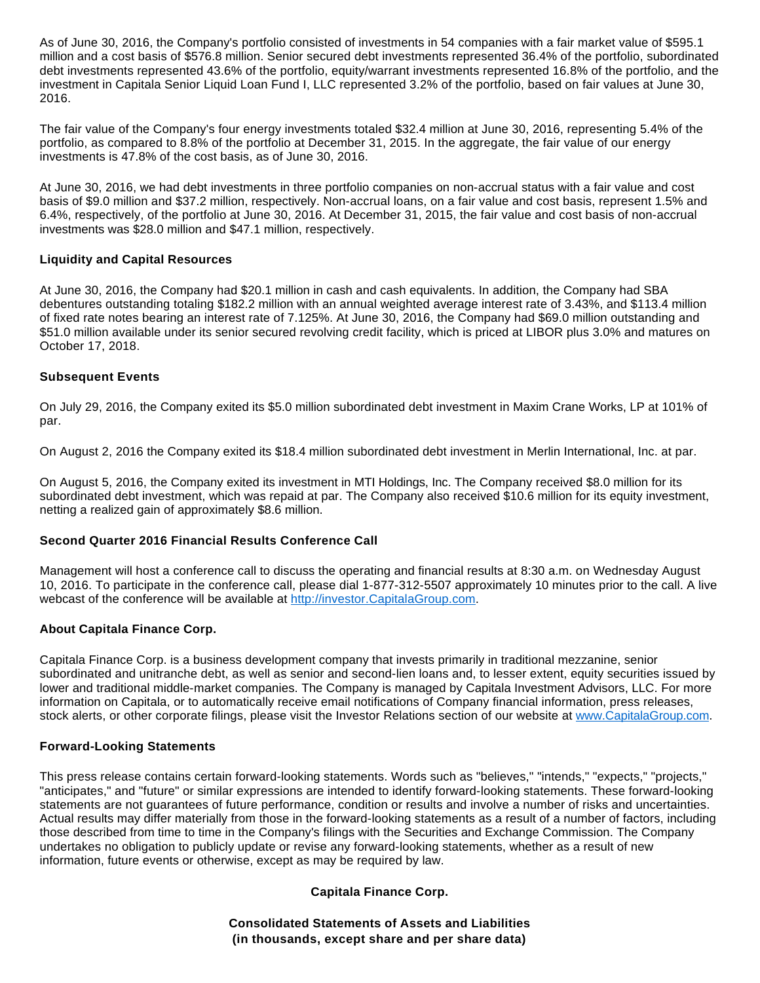As of June 30, 2016, the Company's portfolio consisted of investments in 54 companies with a fair market value of \$595.1 million and a cost basis of \$576.8 million. Senior secured debt investments represented 36.4% of the portfolio, subordinated debt investments represented 43.6% of the portfolio, equity/warrant investments represented 16.8% of the portfolio, and the investment in Capitala Senior Liquid Loan Fund I, LLC represented 3.2% of the portfolio, based on fair values at June 30, 2016.

The fair value of the Company's four energy investments totaled \$32.4 million at June 30, 2016, representing 5.4% of the portfolio, as compared to 8.8% of the portfolio at December 31, 2015. In the aggregate, the fair value of our energy investments is 47.8% of the cost basis, as of June 30, 2016.

At June 30, 2016, we had debt investments in three portfolio companies on non-accrual status with a fair value and cost basis of \$9.0 million and \$37.2 million, respectively. Non-accrual loans, on a fair value and cost basis, represent 1.5% and 6.4%, respectively, of the portfolio at June 30, 2016. At December 31, 2015, the fair value and cost basis of non-accrual investments was \$28.0 million and \$47.1 million, respectively.

#### **Liquidity and Capital Resources**

At June 30, 2016, the Company had \$20.1 million in cash and cash equivalents. In addition, the Company had SBA debentures outstanding totaling \$182.2 million with an annual weighted average interest rate of 3.43%, and \$113.4 million of fixed rate notes bearing an interest rate of 7.125%. At June 30, 2016, the Company had \$69.0 million outstanding and \$51.0 million available under its senior secured revolving credit facility, which is priced at LIBOR plus 3.0% and matures on October 17, 2018.

## **Subsequent Events**

On July 29, 2016, the Company exited its \$5.0 million subordinated debt investment in Maxim Crane Works, LP at 101% of par.

On August 2, 2016 the Company exited its \$18.4 million subordinated debt investment in Merlin International, Inc. at par.

On August 5, 2016, the Company exited its investment in MTI Holdings, Inc. The Company received \$8.0 million for its subordinated debt investment, which was repaid at par. The Company also received \$10.6 million for its equity investment, netting a realized gain of approximately \$8.6 million.

## **Second Quarter 2016 Financial Results Conference Call**

Management will host a conference call to discuss the operating and financial results at 8:30 a.m. on Wednesday August 10, 2016. To participate in the conference call, please dial 1-877-312-5507 approximately 10 minutes prior to the call. A live webcast of the conference will be available at [http://investor.CapitalaGroup.com](http://cts.businesswire.com/ct/CT?id=smartlink&url=http%3A%2F%2Finvestor.CapitalaGroup.com&esheet=51397339&newsitemid=20160809005102&lan=en-US&anchor=http%3A%2F%2Finvestor.CapitalaGroup.com&index=1&md5=f1f7f1f32e22a644766b8aa17840a383).

## **About Capitala Finance Corp.**

Capitala Finance Corp. is a business development company that invests primarily in traditional mezzanine, senior subordinated and unitranche debt, as well as senior and second-lien loans and, to lesser extent, equity securities issued by lower and traditional middle-market companies. The Company is managed by Capitala Investment Advisors, LLC. For more information on Capitala, or to automatically receive email notifications of Company financial information, press releases, stock alerts, or other corporate filings, please visit the Investor Relations section of our website at [www.CapitalaGroup.com.](http://cts.businesswire.com/ct/CT?id=smartlink&url=http%3A%2F%2Fwww.CapitalaGroup.com&esheet=51397339&newsitemid=20160809005102&lan=en-US&anchor=www.CapitalaGroup.com&index=2&md5=429b7d1d6ae16b1f685a544253ffb3f0)

#### **Forward-Looking Statements**

This press release contains certain forward-looking statements. Words such as "believes," "intends," "expects," "projects," "anticipates," and "future" or similar expressions are intended to identify forward-looking statements. These forward-looking statements are not guarantees of future performance, condition or results and involve a number of risks and uncertainties. Actual results may differ materially from those in the forward-looking statements as a result of a number of factors, including those described from time to time in the Company's filings with the Securities and Exchange Commission. The Company undertakes no obligation to publicly update or revise any forward-looking statements, whether as a result of new information, future events or otherwise, except as may be required by law.

## **Capitala Finance Corp.**

**Consolidated Statements of Assets and Liabilities (in thousands, except share and per share data)**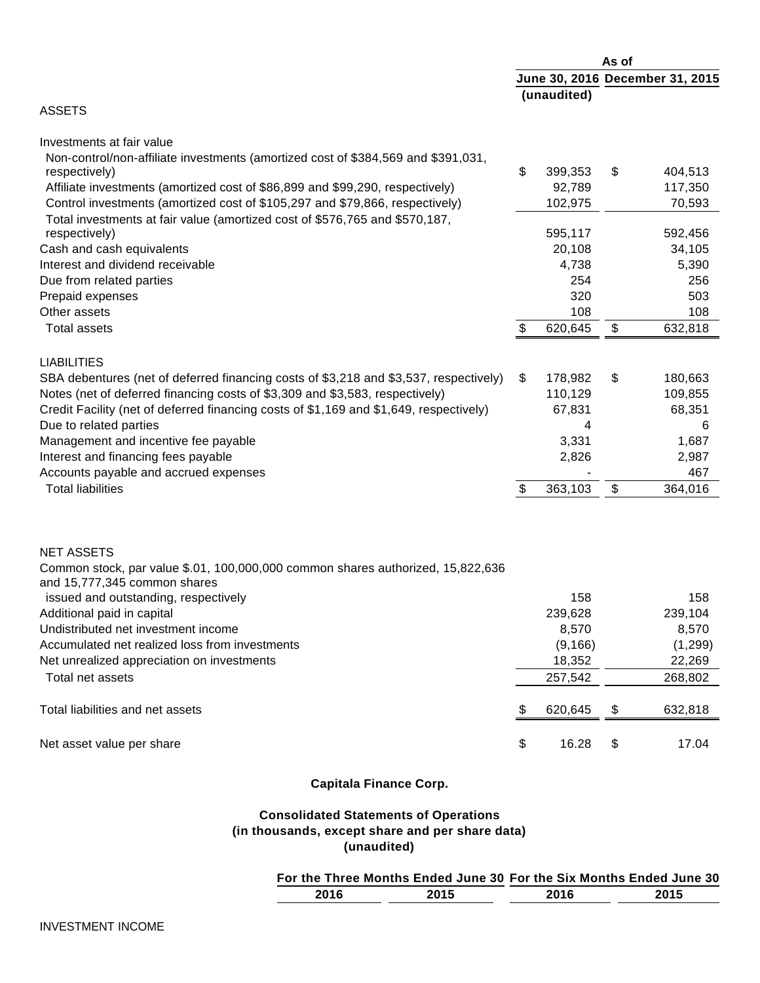|                                                                                        | As of                           |                 |    |                 |
|----------------------------------------------------------------------------------------|---------------------------------|-----------------|----|-----------------|
|                                                                                        | June 30, 2016 December 31, 2015 |                 |    |                 |
|                                                                                        |                                 | (unaudited)     |    |                 |
| <b>ASSETS</b>                                                                          |                                 |                 |    |                 |
| Investments at fair value                                                              |                                 |                 |    |                 |
| Non-control/non-affiliate investments (amortized cost of \$384,569 and \$391,031,      |                                 |                 |    |                 |
| respectively)                                                                          | \$                              | 399,353         | S  | 404,513         |
| Affiliate investments (amortized cost of \$86,899 and \$99,290, respectively)          |                                 | 92,789          |    | 117,350         |
| Control investments (amortized cost of \$105,297 and \$79,866, respectively)           |                                 | 102,975         |    | 70,593          |
| Total investments at fair value (amortized cost of \$576,765 and \$570,187,            |                                 |                 |    |                 |
| respectively)                                                                          |                                 | 595,117         |    | 592,456         |
| Cash and cash equivalents<br>Interest and dividend receivable                          |                                 | 20,108<br>4,738 |    | 34,105<br>5,390 |
| Due from related parties                                                               |                                 | 254             |    | 256             |
| Prepaid expenses                                                                       |                                 | 320             |    | 503             |
| Other assets                                                                           |                                 | 108             |    | 108             |
| <b>Total assets</b>                                                                    | \$                              | 620,645         | \$ | 632,818         |
|                                                                                        |                                 |                 |    |                 |
| <b>LIABILITIES</b>                                                                     |                                 |                 |    |                 |
| SBA debentures (net of deferred financing costs of \$3,218 and \$3,537, respectively)  | \$                              | 178,982         | \$ | 180,663         |
| Notes (net of deferred financing costs of \$3,309 and \$3,583, respectively)           |                                 | 110,129         |    | 109,855         |
| Credit Facility (net of deferred financing costs of \$1,169 and \$1,649, respectively) |                                 | 67,831          |    | 68,351          |
| Due to related parties                                                                 |                                 | 4               |    | 6               |
| Management and incentive fee payable                                                   |                                 | 3,331           |    | 1,687           |
| Interest and financing fees payable                                                    |                                 | 2,826           |    | 2,987           |
| Accounts payable and accrued expenses                                                  |                                 |                 |    | 467             |
| <b>Total liabilities</b>                                                               | \$                              | 363,103         | \$ | 364,016         |
|                                                                                        |                                 |                 |    |                 |
| <b>NET ASSETS</b>                                                                      |                                 |                 |    |                 |
| Common stock, par value \$.01, 100,000,000 common shares authorized, 15,822,636        |                                 |                 |    |                 |
| and 15,777,345 common shares                                                           |                                 |                 |    |                 |
| issued and outstanding, respectively                                                   |                                 | 158             |    | 158             |
| Additional paid in capital                                                             |                                 | 239,628         |    | 239,104         |
| Undistributed net investment income                                                    |                                 | 8,570           |    | 8,570           |
| Accumulated net realized loss from investments                                         |                                 | (9, 166)        |    | (1,299)         |
| Net unrealized appreciation on investments                                             |                                 | 18,352          |    | 22,269          |
| Total net assets                                                                       |                                 | 257,542         |    | 268,802         |
| Total liabilities and net assets                                                       | \$                              | 620,645         | \$ | 632,818         |
| Net asset value per share                                                              | \$                              | 16.28           | \$ | 17.04           |
|                                                                                        |                                 |                 |    |                 |

# **Capitala Finance Corp.**

# **Consolidated Statements of Operations (in thousands, except share and per share data) (unaudited)**

# **For the Three Months Ended June 30 For the Six Months Ended June 30**

| 20 <sup>4</sup> |  |  |
|-----------------|--|--|
|                 |  |  |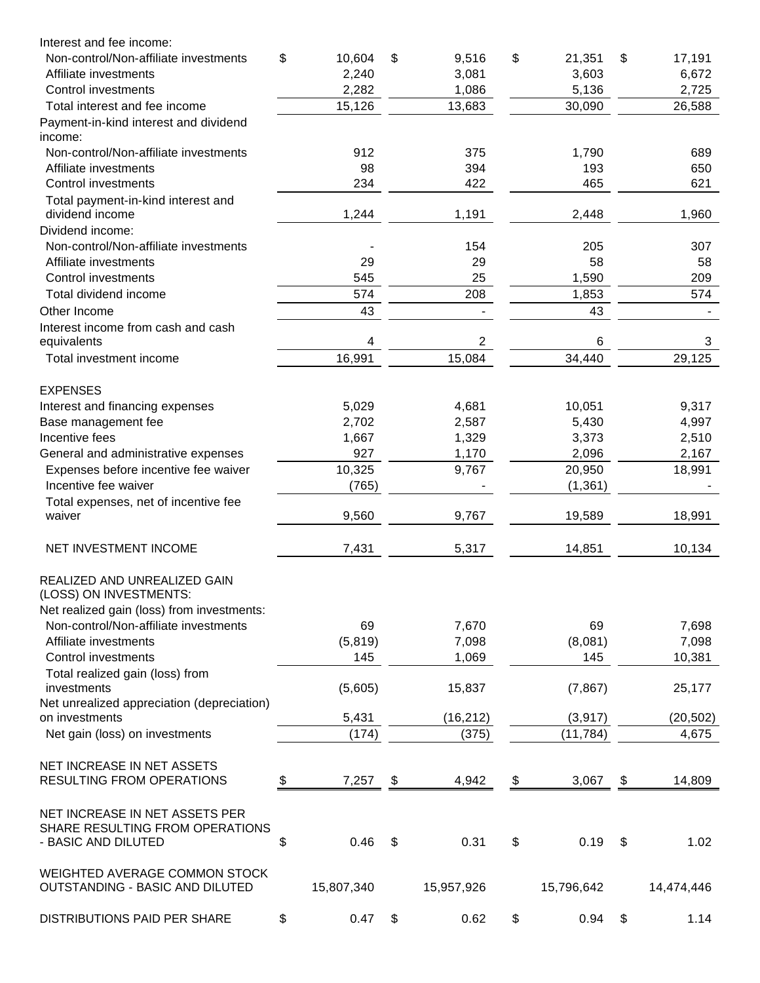| Interest and fee income:                                         |              |                |              |              |
|------------------------------------------------------------------|--------------|----------------|--------------|--------------|
| Non-control/Non-affiliate investments                            | \$<br>10,604 | \$<br>9,516    | \$<br>21,351 | \$<br>17,191 |
| Affiliate investments                                            | 2,240        | 3,081          | 3,603        | 6,672        |
| Control investments                                              | 2,282        | 1,086          | 5,136        | 2,725        |
| Total interest and fee income                                    | 15,126       | 13,683         | 30,090       | 26,588       |
| Payment-in-kind interest and dividend<br>income:                 |              |                |              |              |
| Non-control/Non-affiliate investments                            | 912          | 375            | 1,790        | 689          |
| Affiliate investments                                            | 98           | 394            | 193          | 650          |
| Control investments                                              | 234          | 422            | 465          | 621          |
| Total payment-in-kind interest and<br>dividend income            | 1,244        | 1,191          | 2,448        | 1,960        |
| Dividend income:                                                 |              |                |              |              |
| Non-control/Non-affiliate investments                            |              | 154            | 205          | 307          |
| Affiliate investments                                            | 29           | 29             | 58           | 58           |
| <b>Control investments</b>                                       | 545          | 25             | 1,590        | 209          |
| Total dividend income                                            | 574          | 208            | 1,853        | 574          |
| Other Income                                                     | 43           |                | 43           |              |
| Interest income from cash and cash                               |              |                |              |              |
| equivalents                                                      | 4            | $\overline{2}$ | 6            | 3            |
| Total investment income                                          | 16,991       | 15,084         | 34,440       | 29,125       |
| <b>EXPENSES</b>                                                  |              |                |              |              |
| Interest and financing expenses                                  | 5,029        | 4,681          | 10,051       | 9,317        |
| Base management fee                                              | 2,702        | 2,587          | 5,430        | 4,997        |
| Incentive fees                                                   | 1,667        | 1,329          | 3,373        | 2,510        |
| General and administrative expenses                              | 927          | 1,170          | 2,096        | 2,167        |
| Expenses before incentive fee waiver                             | 10,325       | 9,767          | 20,950       | 18,991       |
| Incentive fee waiver                                             | (765)        |                | (1, 361)     |              |
| Total expenses, net of incentive fee                             |              |                |              |              |
| waiver                                                           | 9,560        | 9,767          | 19,589       | 18,991       |
| NET INVESTMENT INCOME                                            | 7,431        | 5,317          | 14,851       | 10,134       |
| REALIZED AND UNREALIZED GAIN<br>(LOSS) ON INVESTMENTS:           |              |                |              |              |
| Net realized gain (loss) from investments:                       |              |                |              |              |
| Non-control/Non-affiliate investments                            | 69           | 7,670          | 69           | 7,698        |
| Affiliate investments                                            | (5,819)      | 7,098          | (8,081)      | 7,098        |
| Control investments                                              | 145          | 1,069          | 145          | 10,381       |
| Total realized gain (loss) from<br>investments                   | (5,605)      | 15,837         | (7, 867)     | 25,177       |
| Net unrealized appreciation (depreciation)                       |              |                |              |              |
| on investments                                                   | 5,431        | (16, 212)      | (3, 917)     | (20, 502)    |
| Net gain (loss) on investments                                   | (174)        | (375)          | (11, 784)    | 4,675        |
| NET INCREASE IN NET ASSETS                                       |              |                |              |              |
| <b>RESULTING FROM OPERATIONS</b>                                 | \$<br>7,257  | \$<br>4,942    | \$<br>3,067  | \$<br>14,809 |
|                                                                  |              |                |              |              |
| NET INCREASE IN NET ASSETS PER                                   |              |                |              |              |
| SHARE RESULTING FROM OPERATIONS                                  |              |                |              |              |
| - BASIC AND DILUTED                                              | \$<br>0.46   | \$<br>0.31     | \$<br>0.19   | \$<br>1.02   |
| WEIGHTED AVERAGE COMMON STOCK<br>OUTSTANDING - BASIC AND DILUTED | 15,807,340   | 15,957,926     | 15,796,642   | 14,474,446   |
| DISTRIBUTIONS PAID PER SHARE                                     | \$<br>0.47   | \$<br>0.62     | \$<br>0.94   | \$<br>1.14   |